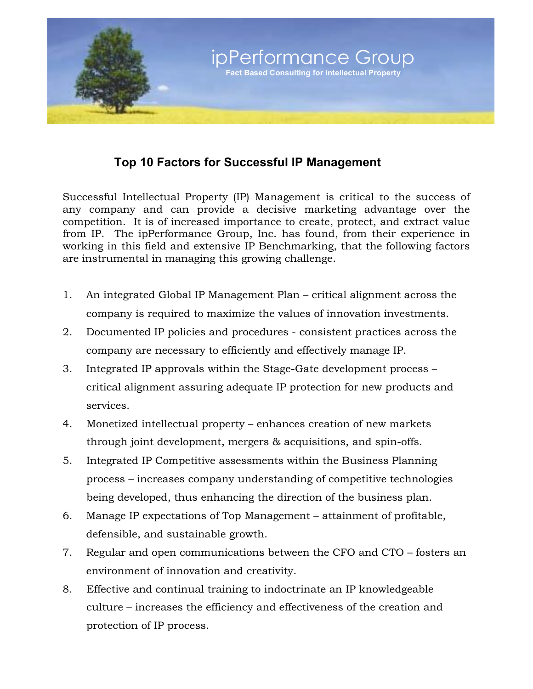

## **Top 10 Factors for Successful IP Management**

Successful Intellectual Property (IP) Management is critical to the success of any company and can provide a decisive marketing advantage over the competition. It is of increased importance to create, protect, and extract value from IP. The ipPerformance Group, Inc. has found, from their experience in working in this field and extensive IP Benchmarking, that the following factors are instrumental in managing this growing challenge.

- 1. An integrated Global IP Management Plan critical alignment across the company is required to maximize the values of innovation investments.
- 2. Documented IP policies and procedures consistent practices across the company are necessary to efficiently and effectively manage IP.
- 3. Integrated IP approvals within the Stage-Gate development process critical alignment assuring adequate IP protection for new products and services.
- 4. Monetized intellectual property enhances creation of new markets through joint development, mergers & acquisitions, and spin-offs.
- 5. Integrated IP Competitive assessments within the Business Planning process – increases company understanding of competitive technologies being developed, thus enhancing the direction of the business plan.
- 6. Manage IP expectations of Top Management attainment of profitable, defensible, and sustainable growth.
- 7. Regular and open communications between the CFO and CTO fosters an environment of innovation and creativity.
- 8. Effective and continual training to indoctrinate an IP knowledgeable culture – increases the efficiency and effectiveness of the creation and protection of IP process.